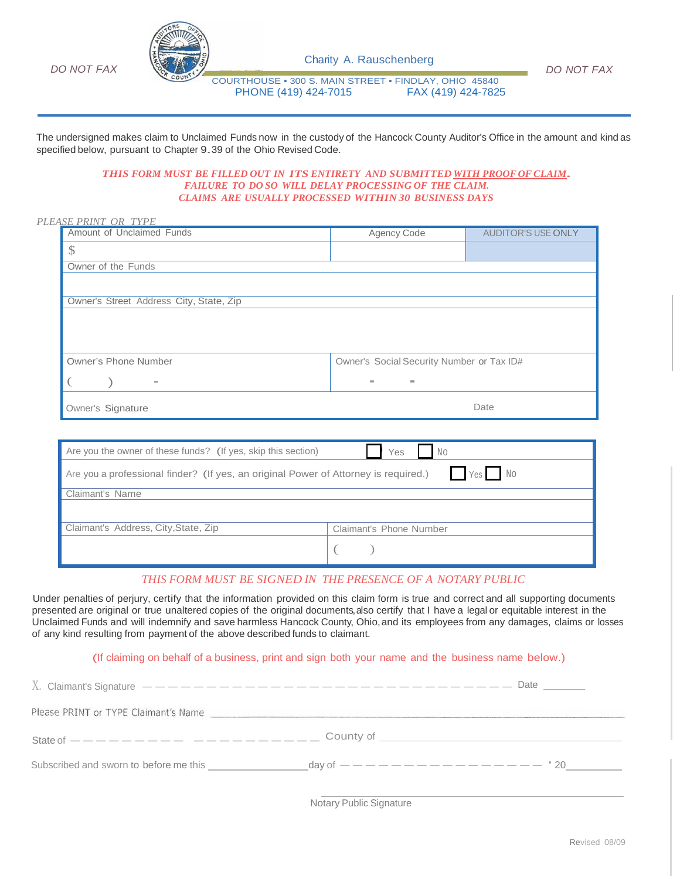



Charity A. Rauschenberg

*DO NOT FAX*

COURTHOUSE • 300 S. MAIN STREET • FINDLAY, OHIO 45840 PHONE (419) 424-7015

The undersigned makes claim to Unclaimed Funds now in the custody of the Hancock County Auditor's Office in the amount and kind as specified below, pursuant to Chapter 9.39 of the Ohio Revised Code.

## *THIS FORM MUST BE FILLED OUT IN ITS ENTIRETY AND SUBMITTED WITH PROOF OF CLAIM. FAILURE TO DO SO WILL DELAY PROCESSING OF THE CLAIM. CLAIMS ARE USUALLY PROCESSED WITHIN 30 BUSINESS DAYS*

#### *PLEASE PRINT OR TYPE*

| Amount of Unclaimed Funds               | Agency Code                               | <b>AUDITOR'S USE ONLY</b> |
|-----------------------------------------|-------------------------------------------|---------------------------|
| \$                                      |                                           |                           |
| Owner of the Funds                      |                                           |                           |
|                                         |                                           |                           |
| Owner's Street Address City, State, Zip |                                           |                           |
|                                         |                                           |                           |
| Owner's Phone Number                    | Owner's Social Security Number or Tax ID# |                           |
| $\sim$                                  | $\equiv$<br>$\equiv$                      |                           |
| Owner's Signature                       | Date                                      |                           |

| Are you the owner of these funds? (If yes, skip this section)                                 | Yes<br>No                      |  |
|-----------------------------------------------------------------------------------------------|--------------------------------|--|
| Yes No<br>Are you a professional finder? (If yes, an original Power of Attorney is required.) |                                |  |
| Claimant's Name                                                                               |                                |  |
|                                                                                               |                                |  |
| Claimant's Address, City, State, Zip                                                          | <b>Claimant's Phone Number</b> |  |
|                                                                                               |                                |  |

## *THIS FORM MUST BE SIGNED IN THE PRESENCE OF A NOTARY PUBLIC*

Under penalties of perjury, certify that the information provided on this claim form is true and correct and all supporting documents presented are original or true unaltered copies of the original documents, also certify that I have a legal or equitable interest in the Unclaimed Funds and will indemnify and save harmless Hancock County, Ohio,and its employees from any damages, claims or losses of any kind resulting from payment of the above described funds to claimant.

(If claiming on behalf of <sup>a</sup> business, print and sign both your name and the business name below.)

| The production of a construction of prime and sight week. Then we are a constructed them as well as a set |  |
|-----------------------------------------------------------------------------------------------------------|--|
|                                                                                                           |  |
| Please PRINT or TYPE Claimant's Name                                                                      |  |
|                                                                                                           |  |
| Subscribed and sworn to before me this                                                                    |  |
|                                                                                                           |  |

Notary Public Signature